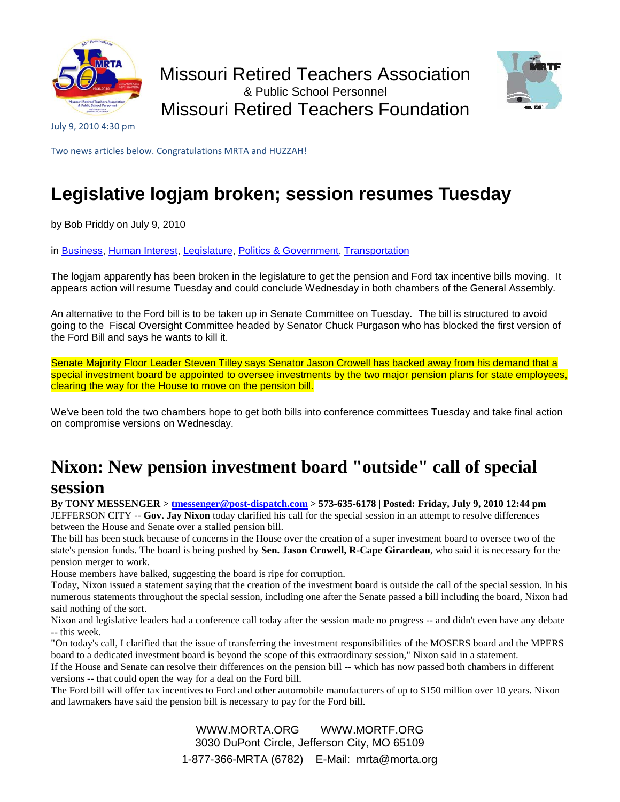



July 9, 2010 4:30 pm

Two news articles below. Congratulations MRTA and HUZZAH!

## **Legislative logjam broken; session resumes Tuesday**

by Bob Priddy on July 9, 2010

in [Business,](http://www.missourinet.com/category/business/) [Human Interest,](http://www.missourinet.com/category/human_interest/) [Legislature,](http://www.missourinet.com/category/legislature/) [Politics & Government,](http://www.missourinet.com/category/politics-government/) [Transportation](http://www.missourinet.com/category/transportation/)

The logjam apparently has been broken in the legislature to get the pension and Ford tax incentive bills moving. It appears action will resume Tuesday and could conclude Wednesday in both chambers of the General Assembly.

An alternative to the Ford bill is to be taken up in Senate Committee on Tuesday. The bill is structured to avoid going to the Fiscal Oversight Committee headed by Senator Chuck Purgason who has blocked the first version of the Ford Bill and says he wants to kill it.

Senate Majority Floor Leader Steven Tilley says Senator Jason Crowell has backed away from his demand that a special investment board be appointed to oversee investments by the two major pension plans for state employees, clearing the way for the House to move on the pension bill.

We've been told the two chambers hope to get both bills into conference committees Tuesday and take final action on compromise versions on Wednesday.

## **Nixon: New pension investment board "outside" call of special session**

**By TONY MESSENGER > [tmessenger@post-dispatch.com](mailto:tmessenger@post-dispatch.com) > 573-635-6178 | Posted: Friday, July 9, 2010 12:44 pm** JEFFERSON CITY -- **Gov. Jay Nixon** today clarified his call for the special session in an attempt to resolve differences between the House and Senate over a stalled pension bill.

The bill has been stuck because of concerns in the House over the creation of a super investment board to oversee two of the state's pension funds. The board is being pushed by **Sen. Jason Crowell, R-Cape Girardeau**, who said it is necessary for the pension merger to work.

House members have balked, suggesting the board is ripe for corruption.

Today, Nixon issued a statement saying that the creation of the investment board is outside the call of the special session. In his numerous statements throughout the special session, including one after the Senate passed a bill including the board, Nixon had said nothing of the sort.

Nixon and legislative leaders had a conference call today after the session made no progress -- and didn't even have any debate -- this week.

"On today's call, I clarified that the issue of transferring the investment responsibilities of the MOSERS board and the MPERS board to a dedicated investment board is beyond the scope of this extraordinary session," Nixon said in a statement.

If the House and Senate can resolve their differences on the pension bill -- which has now passed both chambers in different versions -- that could open the way for a deal on the Ford bill.

The Ford bill will offer tax incentives to Ford and other automobile manufacturers of up to \$150 million over 10 years. Nixon and lawmakers have said the pension bill is necessary to pay for the Ford bill.

> WWW.MORTA.ORG WWW.MORTF.ORG 3030 DuPont Circle, Jefferson City, MO 65109 1-877-366-MRTA (6782) E-Mail: mrta@morta.org